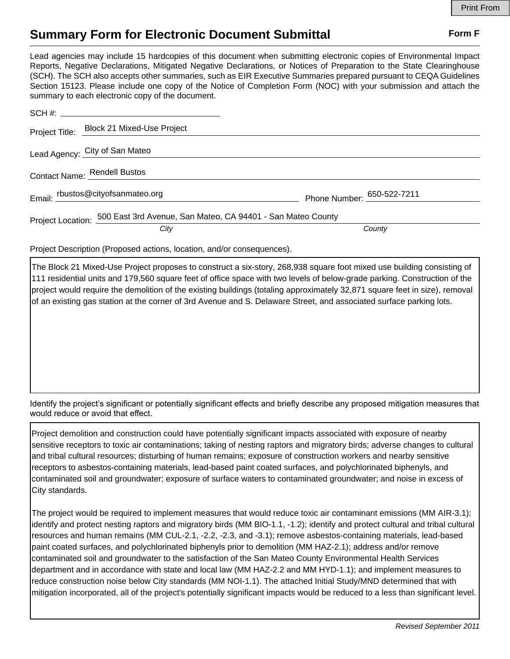## **Summary Form for Electronic Document Submittal Form F Form F**

Lead agencies may include 15 hardcopies of this document when submitting electronic copies of Environmental Impact Reports, Negative Declarations, Mitigated Negative Declarations, or Notices of Preparation to the State Clearinghouse (SCH). The SCH also accepts other summaries, such as EIR Executive Summaries prepared pursuant to CEQA Guidelines Section 15123. Please include one copy of the Notice of Completion Form (NOC) with your submission and attach the summary to each electronic copy of the document.

|                              | Project Title: Block 21 Mixed-Use Project                                     |                            |
|------------------------------|-------------------------------------------------------------------------------|----------------------------|
|                              | Lead Agency: City of San Mateo                                                |                            |
| Contact Name: Rendell Bustos |                                                                               |                            |
|                              | Email: rbustos@cityofsanmateo.org                                             | Phone Number: 650-522-7211 |
|                              | Project Location: 500 East 3rd Avenue, San Mateo, CA 94401 - San Mateo County |                            |
|                              | City                                                                          | County                     |

Project Description (Proposed actions, location, and/or consequences).

The Block 21 Mixed-Use Project proposes to construct a six-story, 268,938 square foot mixed use building consisting of 111 residential units and 179,560 square feet of office space with two levels of below-grade parking. Construction of the project would require the demolition of the existing buildings (totaling approximately 32,871 square feet in size), removal of an existing gas station at the corner of 3rd Avenue and S. Delaware Street, and associated surface parking lots.

Identify the project's significant or potentially significant effects and briefly describe any proposed mitigation measures that would reduce or avoid that effect.

Project demolition and construction could have potentially significant impacts associated with exposure of nearby sensitive receptors to toxic air contaminations; taking of nesting raptors and migratory birds; adverse changes to cultural and tribal cultural resources; disturbing of human remains; exposure of construction workers and nearby sensitive receptors to asbestos-containing materials, lead-based paint coated surfaces, and polychlorinated biphenyls, and contaminated soil and groundwater; exposure of surface waters to contaminated groundwater; and noise in excess of City standards.

The project would be required to implement measures that would reduce toxic air contaminant emissions (MM AIR-3.1); identify and protect nesting raptors and migratory birds (MM BIO-1.1, -1.2); identify and protect cultural and tribal cultural resources and human remains (MM CUL-2.1, -2.2, -2.3, and -3.1); remove asbestos-containing materials, lead-based paint coated surfaces, and polychlorinated biphenyls prior to demolition (MM HAZ-2.1); address and/or remove contaminated soil and groundwater to the satisfaction of the San Mateo County Environmental Health Services department and in accordance with state and local law (MM HAZ-2.2 and MM HYD-1.1); and implement measures to reduce construction noise below City standards (MM NOI-1.1). The attached Initial Study/MND determined that with mitigation incorporated, all of the project's potentially significant impacts would be reduced to a less than significant level.